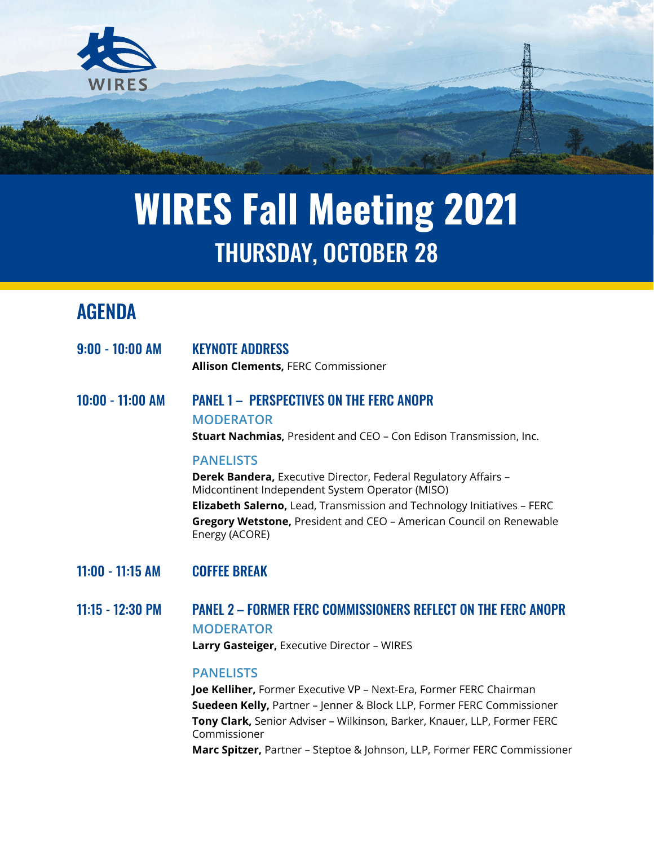

# **WIRES Fall Meeting 2021** THURSDAY, OCTOBER 28

# AGENDA

| $9:00 - 10:00$ AM | <b>KEYNOTE ADDRESS</b><br><b>Allison Clements, FERC Commissioner</b>                                                                                                                                                                                                                                                     |
|-------------------|--------------------------------------------------------------------------------------------------------------------------------------------------------------------------------------------------------------------------------------------------------------------------------------------------------------------------|
| 10:00 - 11:00 AM  | <b>PANEL 1 - PERSPECTIVES ON THE FERC ANOPR</b><br><b>MODERATOR</b><br><b>Stuart Nachmias, President and CEO - Con Edison Transmission, Inc.</b>                                                                                                                                                                         |
|                   | <b>PANELISTS</b><br><b>Derek Bandera, Executive Director, Federal Regulatory Affairs -</b><br>Midcontinent Independent System Operator (MISO)<br><b>Elizabeth Salerno, Lead, Transmission and Technology Initiatives - FERC</b><br>Gregory Wetstone, President and CEO - American Council on Renewable<br>Energy (ACORE) |
| 11:00 - 11:15 AM  | <b>COFFEE BREAK</b>                                                                                                                                                                                                                                                                                                      |
| 11:15 - 12:30 PM  | <b>PANEL 2 - FORMER FERC COMMISSIONERS REFLECT ON THE FERC ANOPR</b><br><b>MODERATOR</b>                                                                                                                                                                                                                                 |

**Larry Gasteiger,** Executive Director – WIRES

#### **PANELISTS**

**Joe Kelliher,** Former Executive VP – Next-Era, Former FERC Chairman **Suedeen Kelly,** Partner – Jenner & Block LLP, Former FERC Commissioner **Tony Clark,** Senior Adviser – Wilkinson, Barker, Knauer, LLP, Former FERC Commissioner **Marc Spitzer,** Partner – Steptoe & Johnson, LLP, Former FERC Commissioner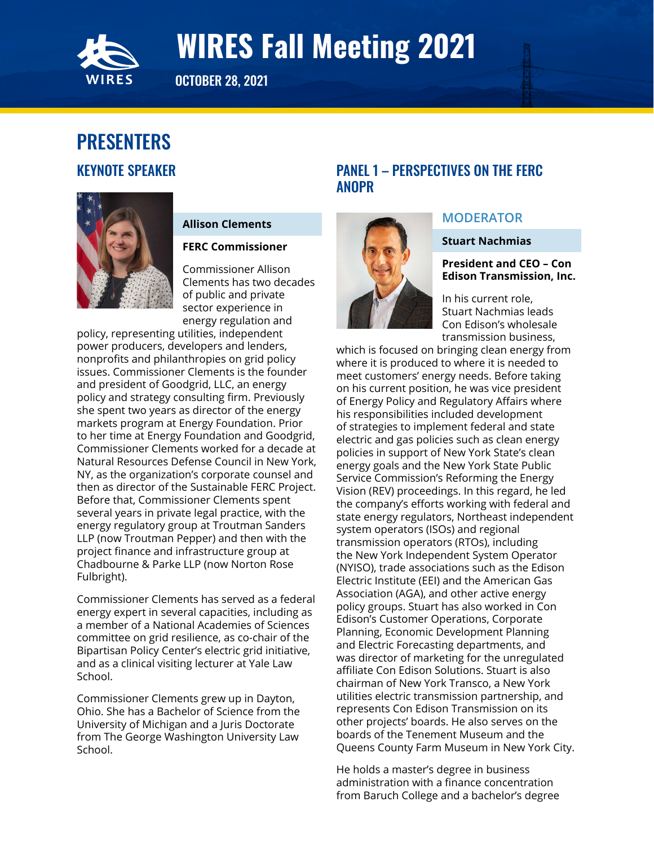<span id="page-1-0"></span>

OCTOBER 28, 2021

# PRESENTERS KEYNOTE SPEAKER



### **Allison Clements**

#### **FERC Commissioner**

Commissioner Allison Clements has two decades of public and private sector experience in energy regulation and

policy, representing utilities, independent power producers, developers and lenders, nonprofits and philanthropies on grid policy issues. Commissioner Clements is the founder and president of Goodgrid, LLC, an energy policy and strategy consulting firm. Previously she spent two years as director of the energy markets program at Energy Foundation. Prior to her time at Energy Foundation and Goodgrid, Commissioner Clements worked for a decade at Natural Resources Defense Council in New York, NY, as the organization's corporate counsel and then as director of the Sustainable FERC Project. Before that, Commissioner Clements spent several years in private legal practice, with the energy regulatory group at Troutman Sanders LLP (now Troutman Pepper) and then with the project finance and infrastructure group at Chadbourne & Parke LLP (now Norton Rose Fulbright).

Commissioner Clements has served as a federal energy expert in several capacities, including as a member of a National Academies of Sciences committee on grid resilience, as co-chair of the Bipartisan Policy Center's electric grid initiative, and as a clinical visiting lecturer at Yale Law School.

Commissioner Clements grew up in Dayton, Ohio. She has a Bachelor of Science from the University of Michigan and a Juris Doctorate from The George Washington University Law School.

# PANEL 1 – PERSPECTIVES ON THE FERC ANOPR



### **MODERATOR**

#### **Stuart Nachmias**

**President and CEO – Con Edison Transmission, Inc.**

In his current role, Stuart Nachmias leads Con Edison's wholesale transmission business,

which is focused on bringing clean energy from where it is produced to where it is needed to meet customers' energy needs. Before taking on his current position, he was vice president of Energy Policy and Regulatory Affairs where his responsibilities included development of strategies to implement federal and state electric and gas policies such as clean energy policies in support of New York State's clean energy goals and the New York State Public Service Commission's Reforming the Energy Vision (REV) proceedings. In this regard, he led the company's efforts working with federal and state energy regulators, Northeast independent system operators (ISOs) and regional transmission operators (RTOs), including the New York Independent System Operator (NYISO), trade associations such as the Edison Electric Institute (EEI) and the American Gas Association (AGA), and other active energy policy groups. Stuart has also worked in Con Edison's Customer Operations, Corporate Planning, Economic Development Planning and Electric Forecasting departments, and was director of marketing for the unregulated affiliate Con Edison Solutions. Stuart is also chairman of New York Transco, a New York utilities electric transmission partnership, and represents Con Edison Transmission on its other projects' boards. He also serves on the boards of the Tenement Museum and the Queens County Farm Museum in New York City.

He holds a master's degree in business administration with a finance concentration from Baruch College and a bachelor's degree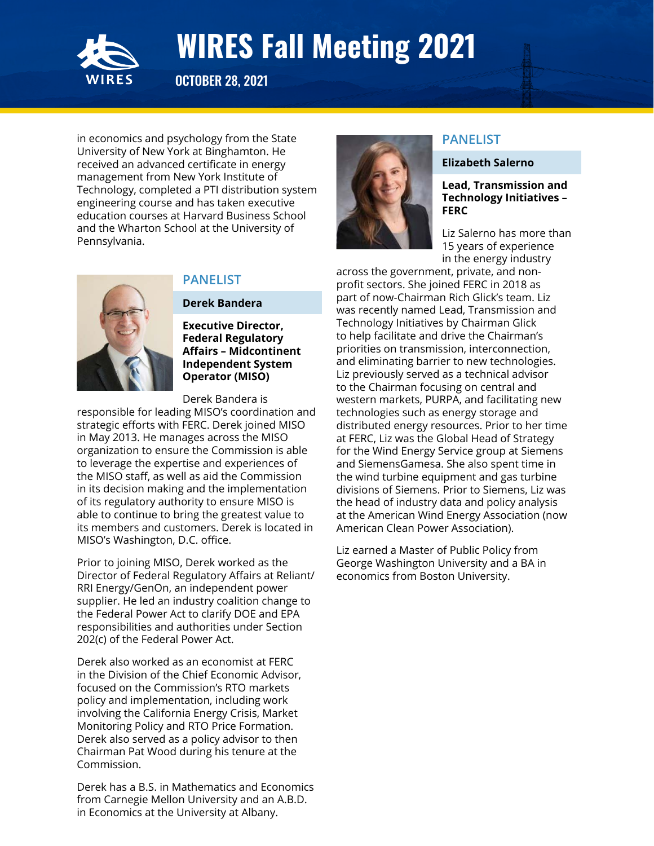

OCTOBER 28, 2021

in economics and psychology from the State University of New York at Binghamton. He received an advanced certificate in energy management from New York Institute of Technology, completed a PTI distribution system engineering course and has taken executive education courses at Harvard Business School and the Wharton School at the University of Pennsylvania.



### **PANELIST**

#### **Derek Bandera**

**Executive Director, Federal Regulatory Affairs – Midcontinent Independent System Operator (MISO)**

Derek Bandera is

responsible for leading MISO's coordination and strategic efforts with FERC. Derek joined MISO in May 2013. He manages across the MISO organization to ensure the Commission is able to leverage the expertise and experiences of the MISO staff, as well as aid the Commission in its decision making and the implementation of its regulatory authority to ensure MISO is able to continue to bring the greatest value to its members and customers. Derek is located in MISO's Washington, D.C. office.

Prior to joining MISO, Derek worked as the Director of Federal Regulatory Affairs at Reliant/ RRI Energy/GenOn, an independent power supplier. He led an industry coalition change to the Federal Power Act to clarify DOE and EPA responsibilities and authorities under Section 202(c) of the Federal Power Act.

Derek also worked as an economist at FERC in the Division of the Chief Economic Advisor, focused on the Commission's RTO markets policy and implementation, including work involving the California Energy Crisis, Market Monitoring Policy and RTO Price Formation. Derek also served as a policy advisor to then Chairman Pat Wood during his tenure at the Commission.

Derek has a B.S. in Mathematics and Economics from Carnegie Mellon University and an A.B.D. in Economics at the University at Albany.



### **PANELIST**

#### **Elizabeth Salerno**

#### **Lead, Transmission and Technology Initiatives – FERC**

Liz Salerno has more than 15 years of experience in the energy industry

across the government, private, and nonprofit sectors. She joined FERC in 2018 as part of now-Chairman Rich Glick's team. Liz was recently named Lead, Transmission and Technology Initiatives by Chairman Glick to help facilitate and drive the Chairman's priorities on transmission, interconnection, and eliminating barrier to new technologies. Liz previously served as a technical advisor to the Chairman focusing on central and western markets, PURPA, and facilitating new technologies such as energy storage and distributed energy resources. Prior to her time at FERC, Liz was the Global Head of Strategy for the Wind Energy Service group at Siemens and SiemensGamesa. She also spent time in the wind turbine equipment and gas turbine divisions of Siemens. Prior to Siemens, Liz was the head of industry data and policy analysis at the American Wind Energy Association (now American Clean Power Association).

Liz earned a Master of Public Policy from George Washington University and a BA in economics from Boston University.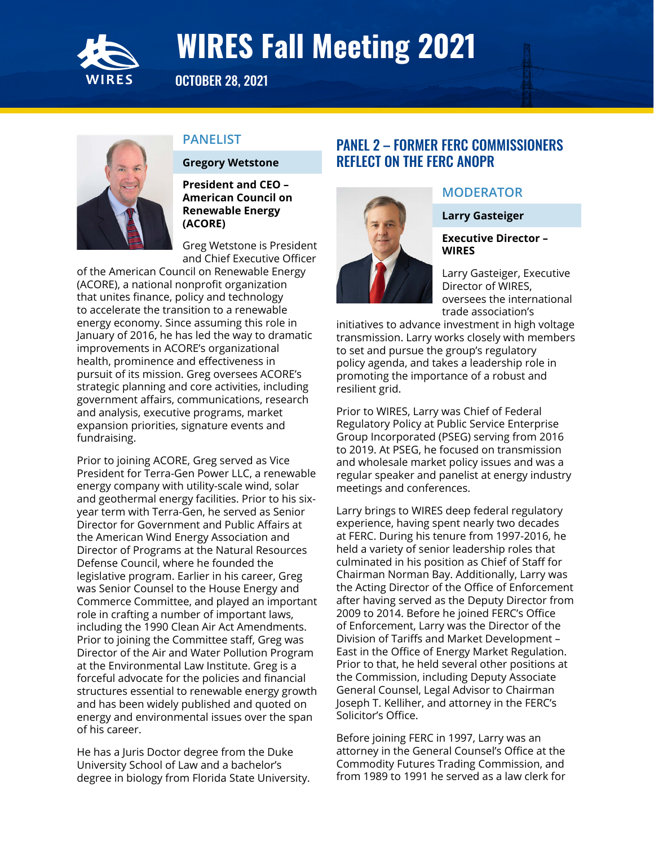<span id="page-3-0"></span>

OCTOBER 28, 2021



### **PANELIST**

**Gregory Wetstone**

**President and CEO – American Council on Renewable Energy (ACORE)**

Greg Wetstone is President and Chief Executive Officer

of the American Council on Renewable Energy (ACORE), a national nonprofit organization that unites finance, policy and technology to accelerate the transition to a renewable energy economy. Since assuming this role in January of 2016, he has led the way to dramatic improvements in ACORE's organizational health, prominence and effectiveness in pursuit of its mission. Greg oversees ACORE's strategic planning and core activities, including government affairs, communications, research and analysis, executive programs, market expansion priorities, signature events and fundraising.

Prior to joining ACORE, Greg served as Vice President for Terra-Gen Power LLC, a renewable energy company with utility-scale wind, solar and geothermal energy facilities. Prior to his sixyear term with Terra-Gen, he served as Senior Director for Government and Public Affairs at the American Wind Energy Association and Director of Programs at the Natural Resources Defense Council, where he founded the legislative program. Earlier in his career, Greg was Senior Counsel to the House Energy and Commerce Committee, and played an important role in crafting a number of important laws, including the 1990 Clean Air Act Amendments. Prior to joining the Committee staff, Greg was Director of the Air and Water Pollution Program at the Environmental Law Institute. Greg is a forceful advocate for the policies and financial structures essential to renewable energy growth and has been widely published and quoted on energy and environmental issues over the span of his career.

He has a Juris Doctor degree from the Duke University School of Law and a bachelor's degree in biology from Florida State University.

# PANEL 2 – FORMER FERC COMMISSIONERS REFLECT ON THE FERC ANOPR



### **MODERATOR**

**Larry Gasteiger**

**Executive Director – WIRES**

Larry Gasteiger, Executive Director of WIRES, oversees the international trade association's

initiatives to advance investment in high voltage transmission. Larry works closely with members to set and pursue the group's regulatory policy agenda, and takes a leadership role in promoting the importance of a robust and resilient grid.

Prior to WIRES, Larry was Chief of Federal Regulatory Policy at Public Service Enterprise Group Incorporated (PSEG) serving from 2016 to 2019. At PSEG, he focused on transmission and wholesale market policy issues and was a regular speaker and panelist at energy industry meetings and conferences.

Larry brings to WIRES deep federal regulatory experience, having spent nearly two decades at FERC. During his tenure from 1997-2016, he held a variety of senior leadership roles that culminated in his position as Chief of Staff for Chairman Norman Bay. Additionally, Larry was the Acting Director of the Office of Enforcement after having served as the Deputy Director from 2009 to 2014. Before he joined FERC's Office of Enforcement, Larry was the Director of the Division of Tariffs and Market Development – East in the Office of Energy Market Regulation. Prior to that, he held several other positions at the Commission, including Deputy Associate General Counsel, Legal Advisor to Chairman Joseph T. Kelliher, and attorney in the FERC's Solicitor's Office.

Before joining FERC in 1997, Larry was an attorney in the General Counsel's Office at the Commodity Futures Trading Commission, and from 1989 to 1991 he served as a law clerk for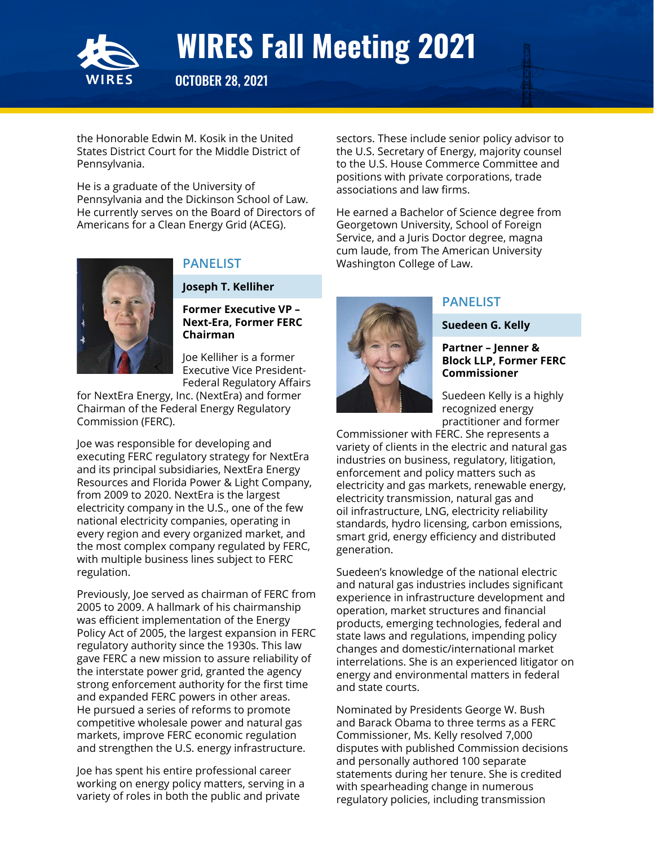

OCTOBER 28, 2021

the Honorable Edwin M. Kosik in the United States District Court for the Middle District of Pennsylvania.

He is a graduate of the University of Pennsylvania and the Dickinson School of Law. He currently serves on the Board of Directors of Americans for a Clean Energy Grid (ACEG).



# **PANELIST**

**Joseph T. Kelliher**

#### **Former Executive VP – Next-Era, Former FERC Chairman**

Joe Kelliher is a former Executive Vice President-Federal Regulatory Affairs

for NextEra Energy, Inc. (NextEra) and former Chairman of the Federal Energy Regulatory Commission (FERC).

Joe was responsible for developing and executing FERC regulatory strategy for NextEra and its principal subsidiaries, NextEra Energy Resources and Florida Power & Light Company, from 2009 to 2020. NextEra is the largest electricity company in the U.S., one of the few national electricity companies, operating in every region and every organized market, and the most complex company regulated by FERC, with multiple business lines subject to FERC regulation.

Previously, Joe served as chairman of FERC from 2005 to 2009. A hallmark of his chairmanship was efficient implementation of the Energy Policy Act of 2005, the largest expansion in FERC regulatory authority since the 1930s. This law gave FERC a new mission to assure reliability of the interstate power grid, granted the agency strong enforcement authority for the first time and expanded FERC powers in other areas. He pursued a series of reforms to promote competitive wholesale power and natural gas markets, improve FERC economic regulation and strengthen the U.S. energy infrastructure.

Joe has spent his entire professional career working on energy policy matters, serving in a variety of roles in both the public and private

sectors. These include senior policy advisor to the U.S. Secretary of Energy, majority counsel to the U.S. House Commerce Committee and positions with private corporations, trade associations and law firms.

He earned a Bachelor of Science degree from Georgetown University, School of Foreign Service, and a Juris Doctor degree, magna cum laude, from The American University Washington College of Law.



# **PANELIST**

#### **Suedeen G. Kelly**

#### **Partner – Jenner & Block LLP, Former FERC Commissioner**

Suedeen Kelly is a highly recognized energy practitioner and former

Commissioner with FERC. She represents a variety of clients in the electric and natural gas industries on business, regulatory, litigation, enforcement and policy matters such as electricity and gas markets, renewable energy, electricity transmission, natural gas and oil infrastructure, LNG, electricity reliability standards, hydro licensing, carbon emissions, smart grid, energy efficiency and distributed generation.

Suedeen's knowledge of the national electric and natural gas industries includes significant experience in infrastructure development and operation, market structures and financial products, emerging technologies, federal and state laws and regulations, impending policy changes and domestic/international market interrelations. She is an experienced litigator on energy and environmental matters in federal and state courts.

Nominated by Presidents George W. Bush and Barack Obama to three terms as a FERC Commissioner, Ms. Kelly resolved 7,000 disputes with published Commission decisions and personally authored 100 separate statements during her tenure. She is credited with spearheading change in numerous regulatory policies, including transmission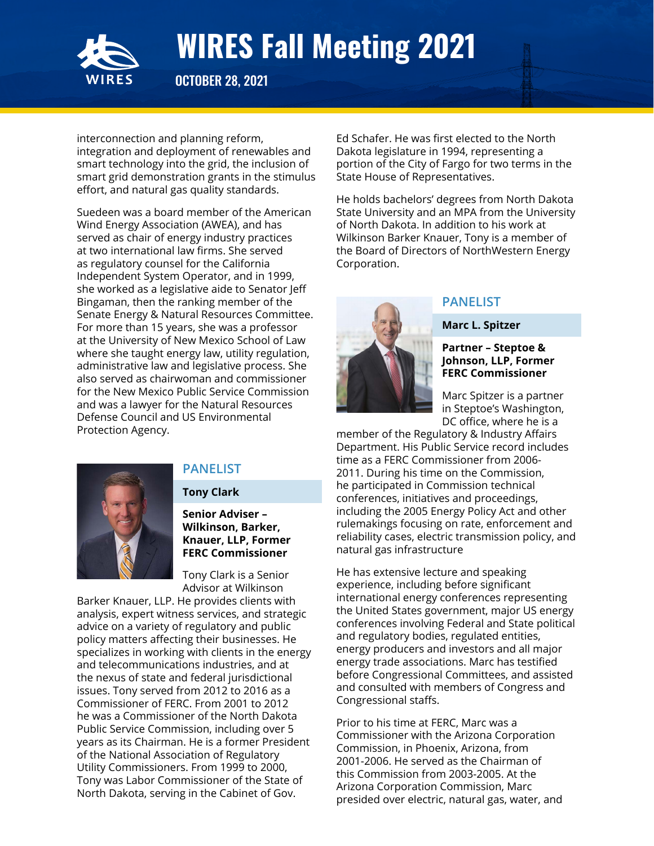

OCTOBER 28, 2021

interconnection and planning reform, integration and deployment of renewables and smart technology into the grid, the inclusion of smart grid demonstration grants in the stimulus effort, and natural gas quality standards.

Suedeen was a board member of the American Wind Energy Association (AWEA), and has served as chair of energy industry practices at two international law firms. She served as regulatory counsel for the California Independent System Operator, and in 1999, she worked as a legislative aide to Senator Jeff Bingaman, then the ranking member of the Senate Energy & Natural Resources Committee. For more than 15 years, she was a professor at the University of New Mexico School of Law where she taught energy law, utility regulation, administrative law and legislative process. She also served as chairwoman and commissioner for the New Mexico Public Service Commission and was a lawyer for the Natural Resources Defense Council and US Environmental Protection Agency.



# **PANELIST**

#### **Tony Clark**

#### **Senior Adviser – Wilkinson, Barker, Knauer, LLP, Former FERC Commissioner**

Tony Clark is a Senior Advisor at Wilkinson

Barker Knauer, LLP. He provides clients with analysis, expert witness services, and strategic advice on a variety of regulatory and public policy matters affecting their businesses. He specializes in working with clients in the energy and telecommunications industries, and at the nexus of state and federal jurisdictional issues. Tony served from 2012 to 2016 as a Commissioner of FERC. From 2001 to 2012 he was a Commissioner of the North Dakota Public Service Commission, including over 5 years as its Chairman. He is a former President of the National Association of Regulatory Utility Commissioners. From 1999 to 2000, Tony was Labor Commissioner of the State of North Dakota, serving in the Cabinet of Gov.

Ed Schafer. He was first elected to the North Dakota legislature in 1994, representing a portion of the City of Fargo for two terms in the State House of Representatives.

He holds bachelors' degrees from North Dakota State University and an MPA from the University of North Dakota. In addition to his work at Wilkinson Barker Knauer, Tony is a member of the Board of Directors of NorthWestern Energy Corporation.



# **PANELIST**

**Marc L. Spitzer**

#### **Partner – Steptoe & Johnson, LLP, Former FERC Commissioner**

Marc Spitzer is a partner in Steptoe's Washington, DC office, where he is a

member of the Regulatory & Industry Affairs Department. His Public Service record includes time as a FERC Commissioner from 2006- 2011. During his time on the Commission, he participated in Commission technical conferences, initiatives and proceedings, including the 2005 Energy Policy Act and other rulemakings focusing on rate, enforcement and reliability cases, electric transmission policy, and natural gas infrastructure

He has extensive lecture and speaking experience, including before significant international energy conferences representing the United States government, major US energy conferences involving Federal and State political and regulatory bodies, regulated entities, energy producers and investors and all major energy trade associations. Marc has testified before Congressional Committees, and assisted and consulted with members of Congress and Congressional staffs.

Prior to his time at FERC, Marc was a Commissioner with the Arizona Corporation Commission, in Phoenix, Arizona, from 2001-2006. He served as the Chairman of this Commission from 2003-2005. At the Arizona Corporation Commission, Marc presided over electric, natural gas, water, and